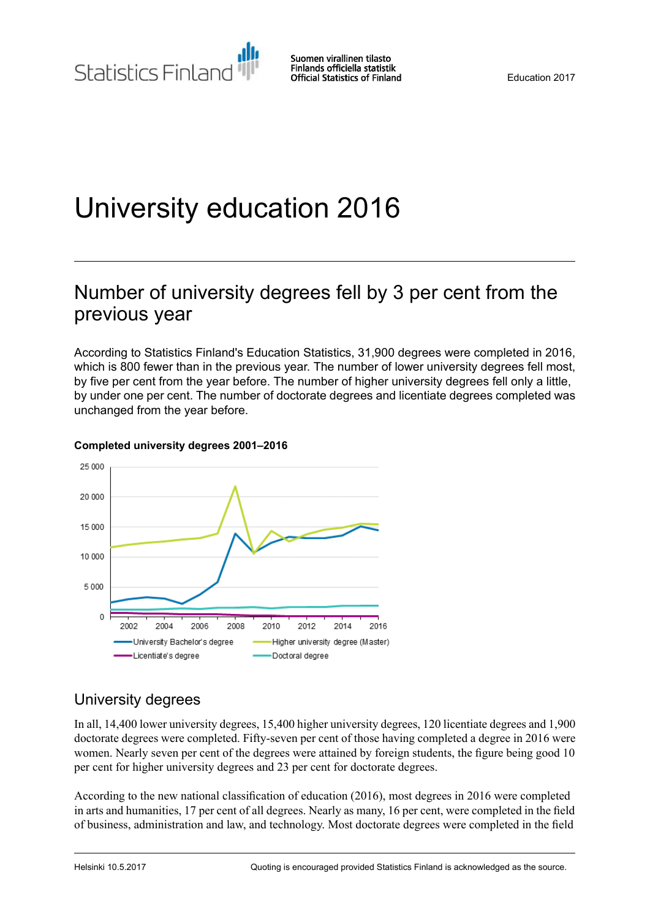# University education 2016

# Number of university degrees fell by 3 per cent from the previous year

According to Statistics Finland's Education Statistics, 31,900 degrees were completed in 2016, which is 800 fewer than in the previous year. The number of lower university degrees fell most, by five per cent from the year before. The number of higher university degrees fell only a little, by under one per cent. The number of doctorate degrees and licentiate degrees completed was unchanged from the year before.



#### **Completed university degrees 2001–2016**

# University degrees

In all, 14,400 lower university degrees, 15,400 higher university degrees, 120 licentiate degrees and 1,900 doctorate degrees were completed. Fifty-seven per cent of those having completed a degree in 2016 were women. Nearly seven per cent of the degrees were attained by foreign students, the figure being good 10 per cent for higher university degrees and 23 per cent for doctorate degrees.

According to the new national classification of education (2016), most degrees in 2016 were completed in arts and humanities, 17 per cent of all degrees. Nearly as many, 16 per cent, were completed in the field of business, administration and law, and technology. Most doctorate degrees were completed in the field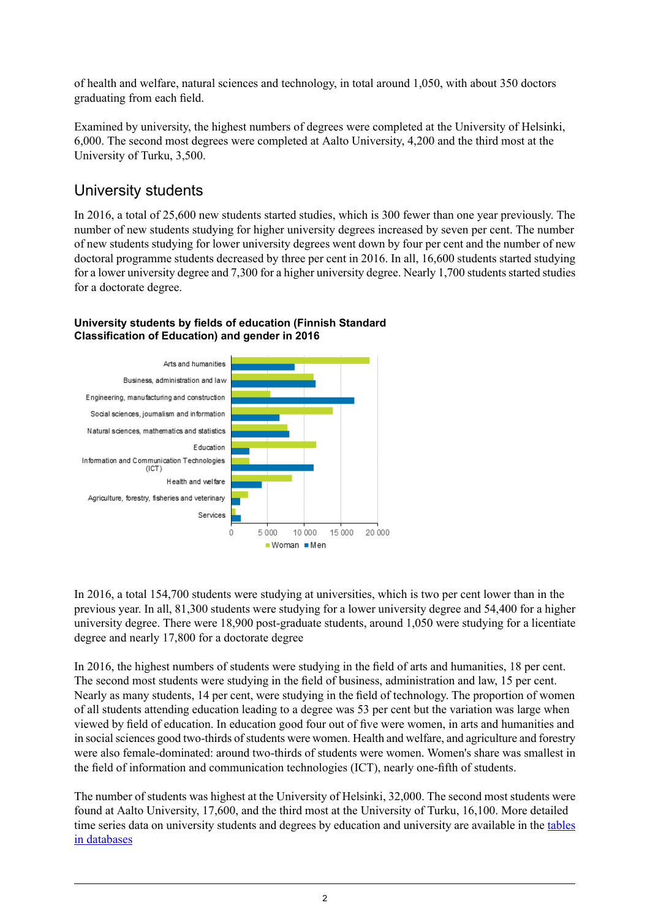of health and welfare, natural sciences and technology, in total around 1,050, with about 350 doctors graduating from each field.

Examined by university, the highest numbers of degrees were completed at the University of Helsinki, 6,000. The second most degrees were completed at Aalto University, 4,200 and the third most at the University of Turku, 3,500.

## University students

In 2016, a total of 25,600 new students started studies, which is 300 fewer than one year previously. The number of new students studying for higher university degrees increased by seven per cent. The number of new students studying for lower university degrees went down by four per cent and the number of new doctoral programme students decreased by three per cent in 2016. In all, 16,600 students started studying for a lower university degree and 7,300 for a higher university degree. Nearly 1,700 students started studies for a doctorate degree.



#### **University students by fields of education (Finnish Standard Classification of Education) and gender in 2016**

In 2016, a total 154,700 students were studying at universities, which is two per cent lower than in the previous year. In all, 81,300 students were studying for a lower university degree and 54,400 for a higher university degree. There were 18,900 post-graduate students, around 1,050 were studying for a licentiate degree and nearly 17,800 for a doctorate degree

In 2016, the highest numbers of students were studying in the field of arts and humanities, 18 per cent. The second most students were studying in the field of business, administration and law, 15 per cent. Nearly as many students, 14 per cent, were studying in the field of technology. The proportion of women of all students attending education leading to a degree was 53 per cent but the variation was large when viewed by field of education. In education good four out of five were women, in arts and humanities and in social sciences good two-thirds of students were women. Health and welfare, and agriculture and forestry were also female-dominated: around two-thirds of students were women. Women's share was smallest in the field of information and communication technologies (ICT), nearly one-fifth of students.

The number of students was highest at the University of Helsinki, 32,000. The second most students were found at Aalto University, 17,600, and the third most at the University of Turku, 16,100. More detailed time series data on university students and degrees by education and university are available in the [tables](http://pxnet2.stat.fi/PXWeb/pxweb/fi/StatFin/StatFin__kou__yop/?tablelist=true) in [databases](http://pxnet2.stat.fi/PXWeb/pxweb/fi/StatFin/StatFin__kou__yop/?tablelist=true)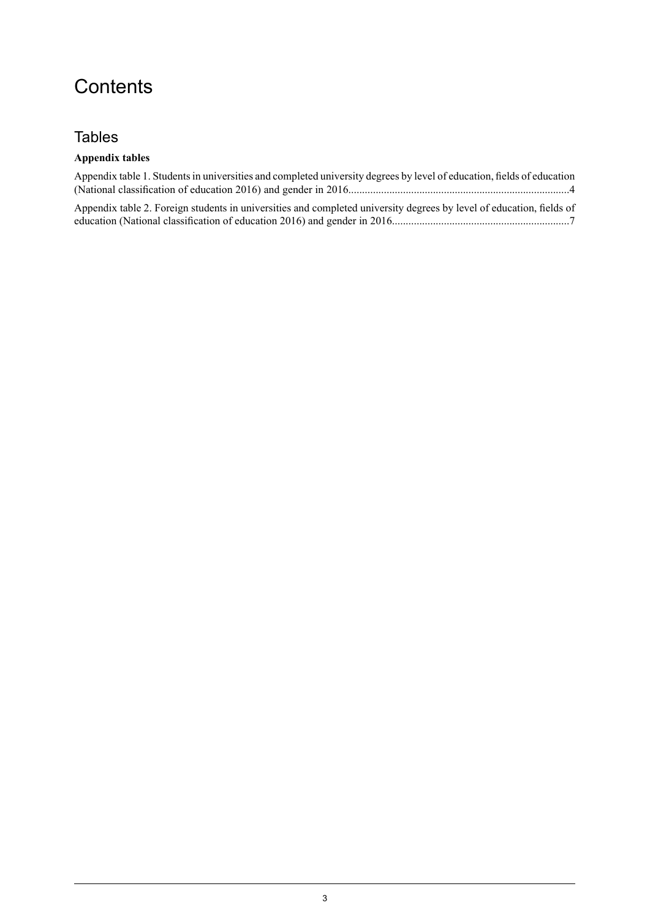# **Contents**

## **Tables**

### **Appendix tables**

| Appendix table 1. Students in universities and completed university degrees by level of education, fields of education |  |
|------------------------------------------------------------------------------------------------------------------------|--|
|                                                                                                                        |  |
| Appendix table 2. Foreign students in universities and completed university degrees by level of education, fields of   |  |
|                                                                                                                        |  |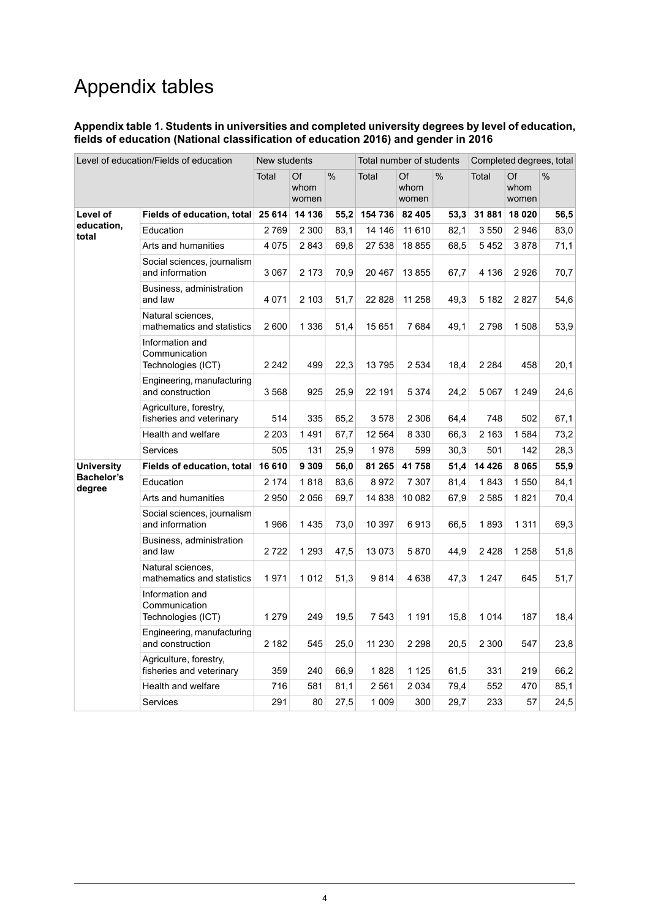# Appendix tables

#### <span id="page-3-0"></span>**Appendix table 1. Students in universities and completed university degrees by level of education, fields of education (National classification of education 2016) and gender in 2016**

| Level of education/Fields of education |                                                        | New students |                     |      | Total number of students |                     |      | Completed degrees, total |                     |               |
|----------------------------------------|--------------------------------------------------------|--------------|---------------------|------|--------------------------|---------------------|------|--------------------------|---------------------|---------------|
|                                        |                                                        | Total        | Of<br>whom<br>women | %    | Total                    | Of<br>whom<br>women | $\%$ | Total                    | Of<br>whom<br>women | $\frac{0}{0}$ |
| Level of                               | Fields of education, total                             | 25 614       | 14 136              | 55,2 | 154 736                  | 82 405              | 53,3 | 31881                    | 18 0 20             | 56,5          |
| education,<br>total                    | Education                                              | 2769         | 2 3 0 0             | 83,1 | 14 14 6                  | 11 610              | 82,1 | 3550                     | 2 9 4 6             | 83,0          |
|                                        | Arts and humanities                                    | 4 0 7 5      | 2843                | 69,8 | 27 538                   | 18 855              | 68,5 | 5452                     | 3878                | 71,1          |
|                                        | Social sciences, journalism<br>and information         | 3 0 6 7      | 2 1 7 3             | 70,9 | 20 467                   | 13 855              | 67,7 | 4 1 3 6                  | 2926                | 70,7          |
|                                        | Business, administration<br>and law                    | 4 0 7 1      | 2 1 0 3             | 51,7 | 22 8 28                  | 11 258              | 49,3 | 5 1 8 2                  | 2827                | 54,6          |
|                                        | Natural sciences,<br>mathematics and statistics        | 2 600        | 1 3 3 6             | 51,4 | 15 651                   | 7684                | 49,1 | 2798                     | 1508                | 53,9          |
|                                        | Information and<br>Communication<br>Technologies (ICT) | 2 2 4 2      | 499                 | 22,3 | 13795                    | 2 5 3 4             | 18,4 | 2 2 8 4                  | 458                 | 20,1          |
|                                        | Engineering, manufacturing<br>and construction         | 3568         | 925                 | 25,9 | 22 191                   | 5 3 7 4             | 24,2 | 5 0 6 7                  | 1 2 4 9             | 24,6          |
|                                        | Agriculture, forestry,<br>fisheries and veterinary     | 514          | 335                 | 65,2 | 3578                     | 2 3 0 6             | 64,4 | 748                      | 502                 | 67,1          |
|                                        | Health and welfare                                     | 2 2 0 3      | 1491                | 67,7 | 12 5 64                  | 8 3 3 0             | 66,3 | 2 1 6 3                  | 1 5 8 4             | 73,2          |
|                                        | <b>Services</b>                                        | 505          | 131                 | 25,9 | 1978                     | 599                 | 30,3 | 501                      | 142                 | 28,3          |
| <b>University</b>                      | Fields of education, total                             | 16 610       | 9 3 0 9             | 56,0 | 81 265                   | 41758               | 51,4 | 14 4 26                  | 8 0 6 5             | 55,9          |
| <b>Bachelor's</b><br>degree            | Education                                              | 2 1 7 4      | 1818                | 83,6 | 8972                     | 7 3 0 7             | 81,4 | 1843                     | 1 550               | 84,1          |
|                                        | Arts and humanities                                    | 2950         | 2056                | 69,7 | 14 838                   | 10 082              | 67,9 | 2585                     | 1821                | 70,4          |
|                                        | Social sciences, journalism<br>and information         | 1966         | 1435                | 73,0 | 10 397                   | 6913                | 66,5 | 1893                     | 1 3 1 1             | 69,3          |
|                                        | Business, administration<br>and law                    | 2722         | 1 2 9 3             | 47,5 | 13 0 73                  | 5870                | 44,9 | 2428                     | 1 2 5 8             | 51,8          |
|                                        | Natural sciences.<br>mathematics and statistics        | 1971         | 1012                | 51,3 | 9814                     | 4638                | 47,3 | 1 2 4 7                  | 645                 | 51,7          |
|                                        | Information and<br>Communication<br>Technologies (ICT) | 1 2 7 9      | 249                 | 19,5 | 7 5 4 3                  | 1 1 9 1             | 15,8 | 1014                     | 187                 | 18,4          |
|                                        | Engineering, manufacturing<br>and construction         | 2 1 8 2      | 545                 | 25,0 | 11 230                   | 2 2 9 8             | 20,5 | 2 3 0 0                  | 547                 | 23,8          |
|                                        | Agriculture, forestry,<br>fisheries and veterinary     | 359          | 240                 | 66,9 | 1828                     | 1 1 2 5             | 61,5 | 331                      | 219                 | 66,2          |
|                                        | Health and welfare                                     | 716          | 581                 | 81,1 | 2 5 6 1                  | 2 0 3 4             | 79,4 | 552                      | 470                 | 85,1          |
|                                        | <b>Services</b>                                        | 291          | 80                  | 27,5 | 1 0 0 9                  | 300                 | 29,7 | 233                      | 57                  | 24,5          |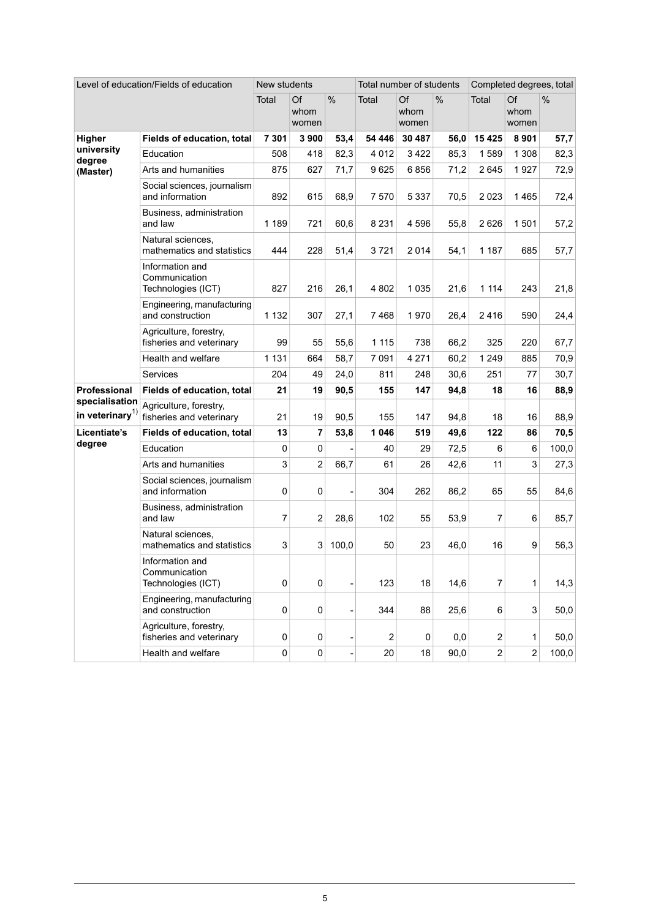| Level of education/Fields of education        |                                                        | New students   |                     |       | Total number of students |                     |      | Completed degrees, total |                     |               |  |
|-----------------------------------------------|--------------------------------------------------------|----------------|---------------------|-------|--------------------------|---------------------|------|--------------------------|---------------------|---------------|--|
|                                               |                                                        | Total          | Of<br>whom<br>women | %     | Total                    | Of<br>whom<br>women | %    | Total                    | Of<br>whom<br>women | $\frac{0}{0}$ |  |
| Higher                                        | Fields of education, total                             | 7 301          | 3 900               | 53,4  | 54 446                   | 30 487              | 56,0 | 15 4 25                  | 8 9 0 1             | 57,7          |  |
| university<br>degree                          | Education                                              | 508            | 418                 | 82,3  | 4 0 1 2                  | 3422                | 85,3 | 1589                     | 1 3 0 8             | 82,3          |  |
| (Master)                                      | Arts and humanities                                    | 875            | 627                 | 71,7  | 9625                     | 6856                | 71,2 | 2645                     | 1927                | 72,9          |  |
|                                               | Social sciences, journalism<br>and information         | 892            | 615                 | 68,9  | 7570                     | 5 3 3 7             | 70,5 | 2023                     | 1465                | 72,4          |  |
|                                               | Business, administration<br>and law                    | 1 1 8 9        | 721                 | 60,6  | 8 2 3 1                  | 4 596               | 55,8 | 2626                     | 1 501               | 57,2          |  |
|                                               | Natural sciences,<br>mathematics and statistics        | 444            | 228                 | 51,4  | 3721                     | 2014                | 54,1 | 1 1 8 7                  | 685                 | 57,7          |  |
|                                               | Information and<br>Communication<br>Technologies (ICT) | 827            | 216                 | 26,1  | 4 8 0 2                  | 1 0 3 5             | 21,6 | 1 1 1 4                  | 243                 | 21,8          |  |
|                                               | Engineering, manufacturing<br>and construction         | 1 1 3 2        | 307                 | 27,1  | 7468                     | 1970                | 26,4 | 2416                     | 590                 | 24,4          |  |
|                                               | Agriculture, forestry,<br>fisheries and veterinary     | 99             | 55                  | 55,6  | 1 1 1 5                  | 738                 | 66,2 | 325                      | 220                 | 67,7          |  |
|                                               | Health and welfare                                     | 1 1 3 1        | 664                 | 58,7  | 7 0 9 1                  | 4 2 7 1             | 60,2 | 1 2 4 9                  | 885                 | 70,9          |  |
|                                               | Services                                               | 204            | 49                  | 24,0  | 811                      | 248                 | 30,6 | 251                      | 77                  | 30,7          |  |
| <b>Professional</b>                           | Fields of education, total                             | 21             | 19                  | 90,5  | 155                      | 147                 | 94,8 | 18                       | 16                  | 88,9          |  |
| specialisation<br>in veterinary <sup>1)</sup> | Agriculture, forestry,<br>fisheries and veterinary     | 21             | 19                  | 90,5  | 155                      | 147                 | 94,8 | 18                       | 16                  | 88,9          |  |
| Licentiate's                                  | Fields of education, total                             | 13             | 7                   | 53,8  | 1 0 4 6                  | 519                 | 49,6 | 122                      | 86                  | 70,5          |  |
| degree                                        | Education                                              | 0              | 0                   |       | 40                       | 29                  | 72,5 | 6                        | 6                   | 100,0         |  |
|                                               | Arts and humanities                                    | $\mathsf 3$    | $\overline{2}$      | 66,7  | 61                       | 26                  | 42,6 | 11                       | 3                   | 27,3          |  |
|                                               | Social sciences, journalism<br>and information         | 0              | 0                   |       | 304                      | 262                 | 86,2 | 65                       | 55                  | 84,6          |  |
|                                               | Business, administration<br>and law                    | $\overline{7}$ | $\overline{2}$      | 28,6  | 102                      | 55                  | 53,9 | $\overline{7}$           | 6                   | 85,7          |  |
|                                               | Natural sciences,<br>mathematics and statistics        | 3              | 3                   | 100,0 | 50                       | 23                  | 46,0 | 16                       | 9                   | 56,3          |  |
|                                               | Information and<br>Communication<br>Technologies (ICT) | $\pmb{0}$      | 0                   |       | 123                      | 18                  | 14,6 | $\overline{7}$           | 1                   | 14,3          |  |
|                                               | Engineering, manufacturing<br>and construction         | $\pmb{0}$      | $\pmb{0}$           |       | 344                      | 88                  | 25,6 | 6                        | 3                   | 50,0          |  |
|                                               | Agriculture, forestry,<br>fisheries and veterinary     | 0              | 0                   |       | 2                        | 0                   | 0,0  | $\overline{\mathbf{c}}$  | 1                   | 50,0          |  |
|                                               | Health and welfare                                     | $\pmb{0}$      | $\pmb{0}$           |       | 20                       | 18                  | 90,0 | $\overline{c}$           | $\overline{2}$      | 100,0         |  |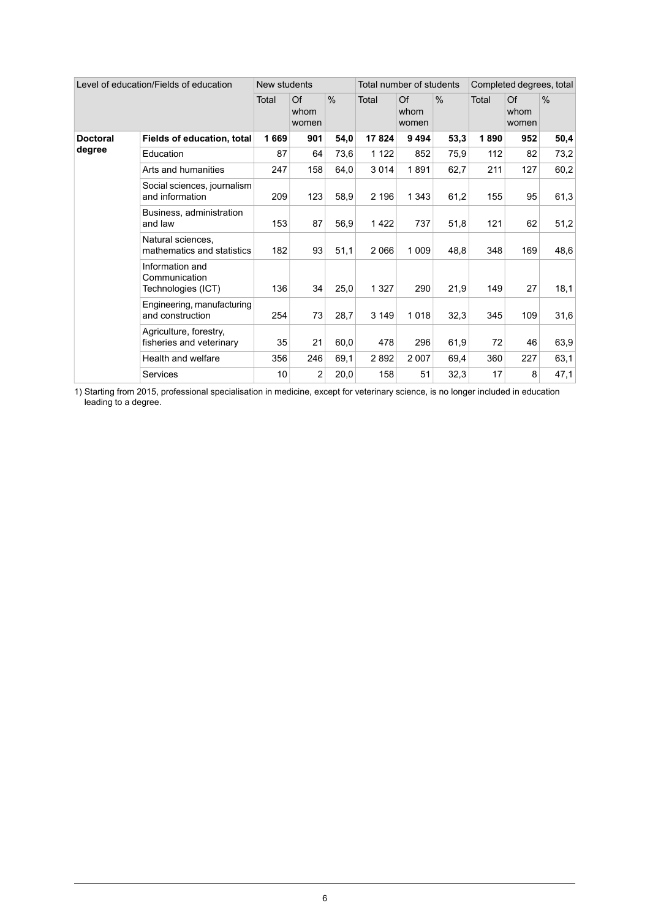| Level of education/Fields of education |                                                        | New students |                     |               | Total number of students |                     |               | Completed degrees, total |                     |               |  |
|----------------------------------------|--------------------------------------------------------|--------------|---------------------|---------------|--------------------------|---------------------|---------------|--------------------------|---------------------|---------------|--|
|                                        |                                                        | Total        | Of<br>whom<br>women | $\frac{0}{0}$ | Total                    | Of<br>whom<br>women | $\frac{0}{0}$ | Total                    | Of<br>whom<br>women | $\frac{0}{0}$ |  |
| <b>Doctoral</b><br>degree              | Fields of education, total                             | 1669         | 901                 | 54,0          | 17824                    | 9 4 9 4             | 53,3          | 1890                     | 952                 | 50,4          |  |
|                                        | Education                                              | 87           | 64                  | 73,6          | 1 1 2 2                  | 852                 | 75,9          | 112                      | 82                  | 73,2          |  |
|                                        | Arts and humanities                                    | 247          | 158                 | 64,0          | 3014                     | 1891                | 62,7          | 211                      | 127                 | 60,2          |  |
|                                        | Social sciences, journalism<br>and information         | 209          | 123                 | 58,9          | 2 196                    | 1 3 4 3             | 61,2          | 155                      | 95                  | 61,3          |  |
|                                        | Business, administration<br>and law                    | 153          | 87                  | 56,9          | 1422                     | 737                 | 51,8          | 121                      | 62                  | 51,2          |  |
|                                        | Natural sciences.<br>mathematics and statistics        | 182          | 93                  | 51,1          | 2066                     | 1 0 0 9             | 48,8          | 348                      | 169                 | 48,6          |  |
|                                        | Information and<br>Communication<br>Technologies (ICT) | 136          | 34                  | 25,0          | 1 3 2 7                  | 290                 | 21,9          | 149                      | 27                  | 18,1          |  |
|                                        | Engineering, manufacturing<br>and construction         | 254          | 73                  | 28,7          | 3 1 4 9                  | 1018                | 32,3          | 345                      | 109                 | 31,6          |  |
|                                        | Agriculture, forestry,<br>fisheries and veterinary     | 35           | 21                  | 60,0          | 478                      | 296                 | 61,9          | 72                       | 46                  | 63,9          |  |
|                                        | Health and welfare                                     | 356          | 246                 | 69,1          | 2892                     | 2 0 0 7             | 69,4          | 360                      | 227                 | 63,1          |  |
|                                        | <b>Services</b>                                        | 10           | $\overline{2}$      | 20,0          | 158                      | 51                  | 32,3          | 17                       | 8                   | 47,1          |  |

Starting from 2015, professional specialisation in medicine, except for veterinary science, is no longer included in education leading to a degree. 1)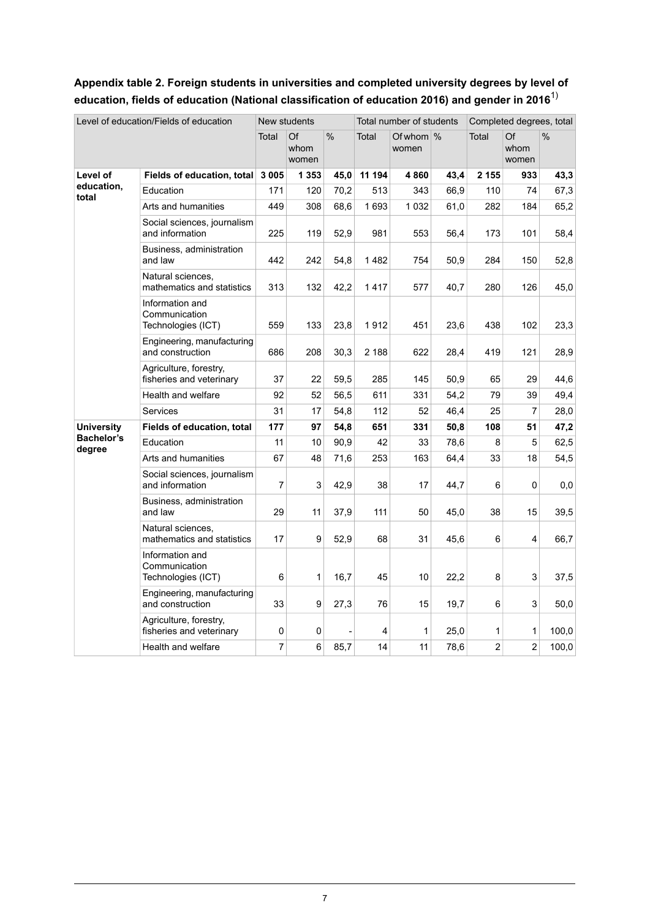### <span id="page-6-0"></span>**Appendix table 2. Foreign students in universities and completed university degrees by level of education, fields of education (National classification of education 2016) and gender in 2016**1)

| Level of education/Fields of education |                                                        | New students |                     |               |        | Total number of students |      | Completed degrees, total |                     |               |
|----------------------------------------|--------------------------------------------------------|--------------|---------------------|---------------|--------|--------------------------|------|--------------------------|---------------------|---------------|
|                                        |                                                        | Total        | Of<br>whom<br>women | $\frac{0}{0}$ | Total  | Of whom $\%$<br>women    |      | Total                    | Of<br>whom<br>women | $\frac{0}{0}$ |
| Level of                               | Fields of education, total                             | 3 0 0 5      | 1 3 5 3             | 45,0          | 11 194 | 4860                     | 43,4 | 2 1 5 5                  | 933                 | 43,3          |
| education,<br>total                    | Education                                              | 171          | 120                 | 70,2          | 513    | 343                      | 66,9 | 110                      | 74                  | 67,3          |
|                                        | Arts and humanities                                    | 449          | 308                 | 68,6          | 1693   | 1 0 3 2                  | 61,0 | 282                      | 184                 | 65,2          |
|                                        | Social sciences, journalism<br>and information         | 225          | 119                 | 52,9          | 981    | 553                      | 56,4 | 173                      | 101                 | 58,4          |
|                                        | Business, administration<br>and law                    | 442          | 242                 | 54,8          | 1482   | 754                      | 50,9 | 284                      | 150                 | 52,8          |
|                                        | Natural sciences,<br>mathematics and statistics        | 313          | 132                 | 42,2          | 1417   | 577                      | 40.7 | 280                      | 126                 | 45,0          |
|                                        | Information and<br>Communication<br>Technologies (ICT) | 559          | 133                 | 23,8          | 1912   | 451                      | 23,6 | 438                      | 102                 | 23,3          |
|                                        | Engineering, manufacturing<br>and construction         | 686          | 208                 | 30,3          | 2 188  | 622                      | 28,4 | 419                      | 121                 | 28,9          |
|                                        | Agriculture, forestry,<br>fisheries and veterinary     | 37           | 22                  | 59,5          | 285    | 145                      | 50,9 | 65                       | 29                  | 44,6          |
|                                        | Health and welfare                                     | 92           | 52                  | 56,5          | 611    | 331                      | 54,2 | 79                       | 39                  | 49,4          |
|                                        | Services                                               | 31           | 17                  | 54,8          | 112    | 52                       | 46,4 | 25                       | $\overline{7}$      | 28,0          |
| <b>University</b>                      | Fields of education, total                             | 177          | 97                  | 54,8          | 651    | 331                      | 50,8 | 108                      | 51                  | 47,2          |
| Bachelor's<br>degree                   | Education                                              | 11           | 10                  | 90,9          | 42     | 33                       | 78,6 | 8                        | 5                   | 62,5          |
|                                        | Arts and humanities                                    | 67           | 48                  | 71,6          | 253    | 163                      | 64,4 | 33                       | 18                  | 54,5          |
|                                        | Social sciences, journalism<br>and information         | 7            | 3                   | 42,9          | 38     | 17                       | 44,7 | 6                        | 0                   | 0,0           |
|                                        | Business, administration<br>and law                    | 29           | 11                  | 37,9          | 111    | 50                       | 45,0 | 38                       | 15                  | 39,5          |
|                                        | Natural sciences.<br>mathematics and statistics        | 17           | 9                   | 52,9          | 68     | 31                       | 45,6 | 6                        | 4                   | 66,7          |
|                                        | Information and<br>Communication<br>Technologies (ICT) | 6            | 1                   | 16,7          | 45     | 10                       | 22,2 | 8                        | 3                   | 37,5          |
|                                        | Engineering, manufacturing<br>and construction         | 33           | 9                   | 27,3          | 76     | 15                       | 19,7 | 6                        | 3                   | 50,0          |
|                                        | Agriculture, forestry,<br>fisheries and veterinary     | 0            | 0                   |               | 4      | 1                        | 25,0 | 1                        | 1                   | 100,0         |
|                                        | Health and welfare                                     | 7            | 6                   | 85,7          | 14     | 11                       | 78,6 | $\overline{2}$           | 2                   | 100,0         |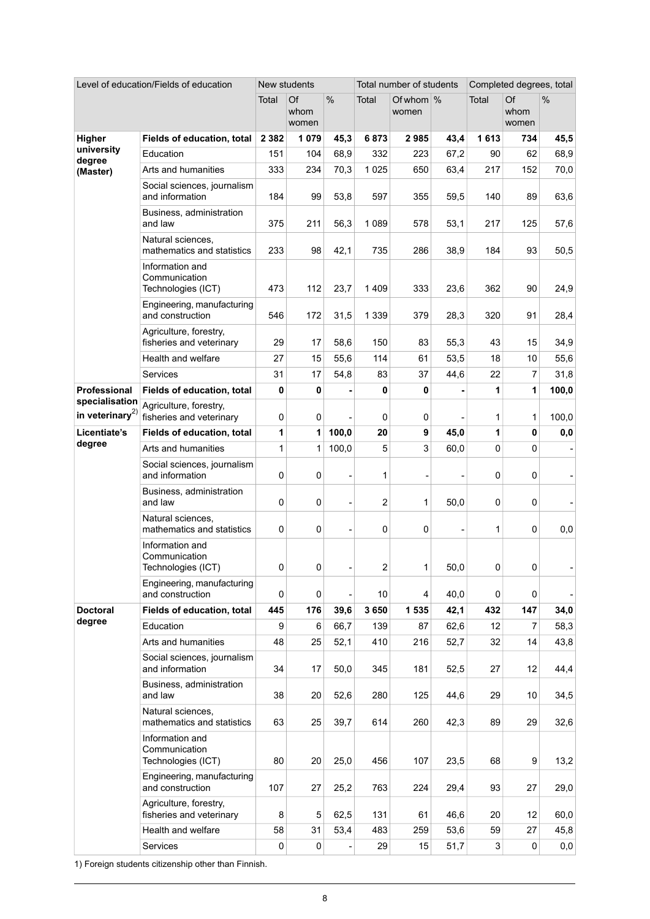| Level of education/Fields of education  |                                                        | New students |                     |       |         | Total number of students |      | Completed degrees, total |                     |       |  |
|-----------------------------------------|--------------------------------------------------------|--------------|---------------------|-------|---------|--------------------------|------|--------------------------|---------------------|-------|--|
|                                         |                                                        | Total        | Of<br>whom<br>women | $\%$  | Total   | Of whom %<br>women       |      | Total                    | Of<br>whom<br>women | %     |  |
| Higher                                  | Fields of education, total                             | 2 3 8 2      | 1 0 7 9             | 45,3  | 6873    | 2985                     | 43,4 | 1613                     | 734                 | 45,5  |  |
| university<br>degree<br>(Master)        | Education                                              | 151          | 104                 | 68,9  | 332     | 223                      | 67,2 | 90                       | 62                  | 68,9  |  |
|                                         | Arts and humanities                                    | 333          | 234                 | 70,3  | 1 0 2 5 | 650                      | 63,4 | 217                      | 152                 | 70,0  |  |
|                                         | Social sciences, journalism<br>and information         | 184          | 99                  | 53,8  | 597     | 355                      | 59,5 | 140                      | 89                  | 63,6  |  |
|                                         | Business, administration<br>and law                    | 375          | 211                 | 56,3  | 1 0 8 9 | 578                      | 53,1 | 217                      | 125                 | 57,6  |  |
|                                         | Natural sciences.<br>mathematics and statistics        | 233          | 98                  | 42,1  | 735     | 286                      | 38,9 | 184                      | 93                  | 50,5  |  |
|                                         | Information and<br>Communication<br>Technologies (ICT) | 473          | 112                 | 23,7  | 1409    | 333                      | 23,6 | 362                      | 90                  | 24,9  |  |
|                                         | Engineering, manufacturing<br>and construction         | 546          | 172                 | 31,5  | 1 3 3 9 | 379                      | 28,3 | 320                      | 91                  | 28,4  |  |
|                                         | Agriculture, forestry,<br>fisheries and veterinary     | 29           | 17                  | 58,6  | 150     | 83                       | 55,3 | 43                       | 15                  | 34,9  |  |
|                                         | Health and welfare                                     | 27           | 15                  | 55,6  | 114     | 61                       | 53,5 | 18                       | 10                  | 55,6  |  |
|                                         | Services                                               | 31           | 17                  | 54,8  | 83      | 37                       | 44,6 | 22                       | 7                   | 31,8  |  |
| Professional                            | Fields of education, total                             | 0            | 0                   |       | 0       | 0                        |      | 1                        | 1                   | 100,0 |  |
| specialisation<br>in veterinary $^{2)}$ | Agriculture, forestry,<br>fisheries and veterinary     | 0            | 0                   |       | 0       | 0                        |      | 1                        | 1                   | 100,0 |  |
| Licentiate's                            | Fields of education, total                             | 1            | 1                   | 100,0 | 20      | 9                        | 45,0 | 1                        | 0                   | 0,0   |  |
| degree                                  | Arts and humanities                                    | 1            | 1                   | 100,0 | 5       | 3                        | 60,0 | 0                        | $\Omega$            |       |  |
|                                         | Social sciences, journalism                            |              |                     |       |         |                          |      |                          |                     |       |  |
|                                         | and information                                        | 0            | 0                   |       | 1       |                          |      | 0                        | 0                   |       |  |
|                                         | Business, administration<br>and law                    | 0            | 0                   |       | 2       | 1                        | 50,0 | 0                        | 0                   |       |  |
|                                         | Natural sciences.<br>mathematics and statistics        | 0            | 0                   |       | 0       | 0                        |      | 1                        | $\mathbf 0$         | 0,0   |  |
|                                         | Information and<br>Communication<br>Technologies (ICT) | 0            | 0                   |       | 2       | 1                        | 50,0 | 0                        | 0                   |       |  |
|                                         | Engineering, manufacturing<br>and construction         | $\pmb{0}$    | 0                   |       | 10      | 4                        | 40,0 | 0                        | $\pmb{0}$           |       |  |
| <b>Doctoral</b>                         | Fields of education, total                             | 445          | 176                 | 39,6  | 3 6 5 0 | 1 535                    | 42,1 | 432                      | 147                 | 34,0  |  |
| degree                                  | Education                                              | 9            | 6                   | 66,7  | 139     | 87                       | 62,6 | 12                       | 7                   | 58,3  |  |
|                                         | Arts and humanities                                    | 48           | 25                  | 52,1  | 410     | 216                      | 52,7 | 32                       | 14                  | 43,8  |  |
|                                         | Social sciences, journalism<br>and information         | 34           | 17                  | 50,0  | 345     | 181                      | 52,5 | 27                       | 12                  | 44,4  |  |
|                                         | Business, administration<br>and law                    | 38           | 20                  | 52,6  | 280     | 125                      | 44,6 | 29                       | 10                  | 34,5  |  |
|                                         | Natural sciences.<br>mathematics and statistics        | 63           | 25                  | 39,7  | 614     | 260                      | 42,3 | 89                       | 29                  | 32,6  |  |
|                                         | Information and<br>Communication<br>Technologies (ICT) | 80           | 20                  | 25,0  | 456     | 107                      | 23,5 | 68                       | 9                   | 13,2  |  |
|                                         | Engineering, manufacturing<br>and construction         | 107          | 27                  | 25,2  | 763     | 224                      | 29,4 | 93                       | 27                  | 29,0  |  |
|                                         | Agriculture, forestry,<br>fisheries and veterinary     | 8            | 5                   | 62,5  | 131     | 61                       | 46,6 | 20                       | 12                  | 60,0  |  |
|                                         | Health and welfare                                     | 58           | 31                  | 53,4  | 483     | 259                      | 53,6 | 59                       | 27                  | 45,8  |  |
|                                         | Services                                               | 0            | 0                   |       | 29      | 15                       | 51,7 | 3                        | 0                   | 0,0   |  |

1) Foreign students citizenship other than Finnish.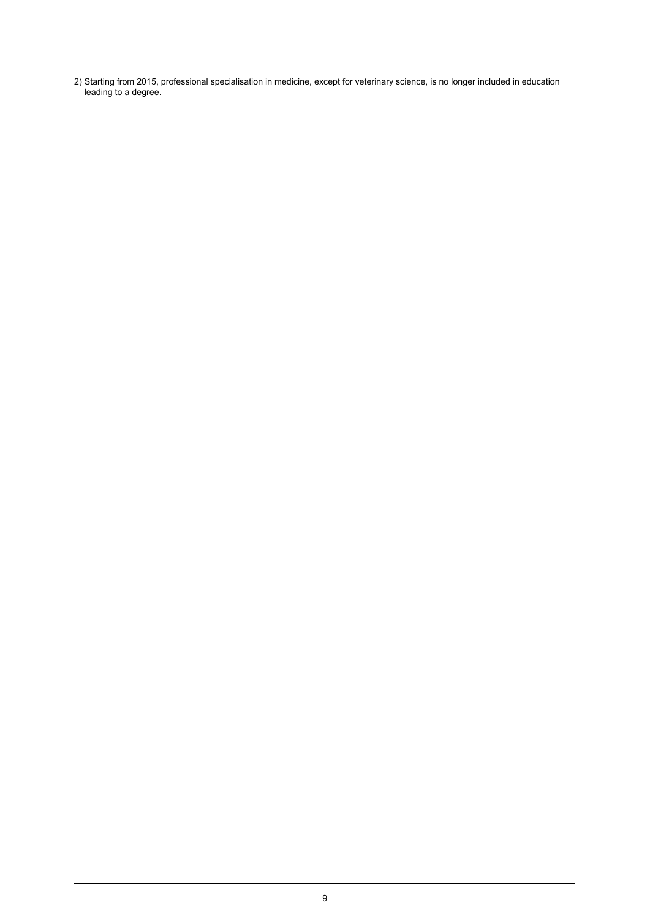Starting from 2015, professional specialisation in medicine, except for veterinary science, is no longer included in education leading to a degree. 2)